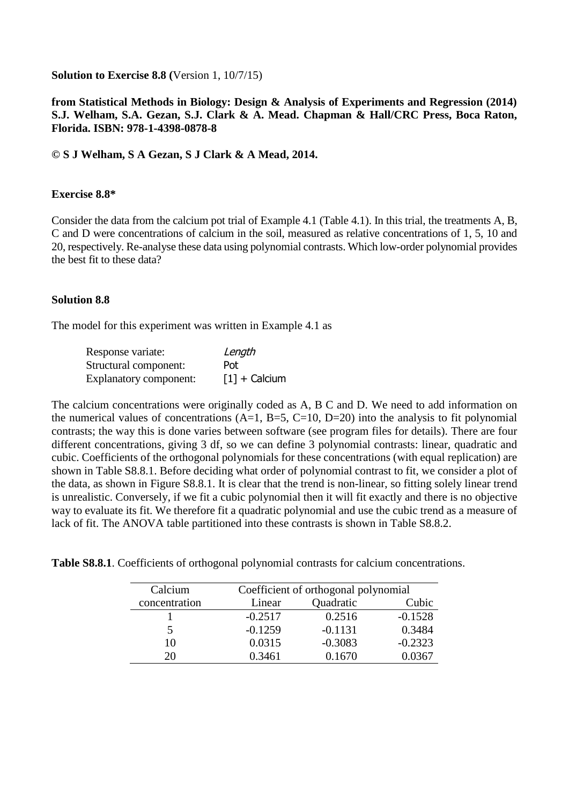**Solution to Exercise 8.8 (**Version 1, 10/7/15)

## **from Statistical Methods in Biology: Design & Analysis of Experiments and Regression (2014) S.J. Welham, S.A. Gezan, S.J. Clark & A. Mead. Chapman & Hall/CRC Press, Boca Raton, Florida. ISBN: 978-1-4398-0878-8**

**© S J Welham, S A Gezan, S J Clark & A Mead, 2014.**

## **Exercise 8.8\***

Consider the data from the calcium pot trial of Example 4.1 (Table 4.1). In this trial, the treatments A, B, C and D were concentrations of calcium in the soil, measured as relative concentrations of 1, 5, 10 and 20, respectively. Re-analyse these data using polynomial contrasts. Which low-order polynomial provides the best fit to these data?

## **Solution 8.8**

The model for this experiment was written in Example 4.1 as

| Response variate:             | Length          |
|-------------------------------|-----------------|
| Structural component:         | Pot:            |
| <b>Explanatory component:</b> | $[1]$ + Calcium |

The calcium concentrations were originally coded as A, B C and D. We need to add information on the numerical values of concentrations  $(A=1, B=5, C=10, D=20)$  into the analysis to fit polynomial contrasts; the way this is done varies between software (see program files for details). There are four different concentrations, giving 3 df, so we can define 3 polynomial contrasts: linear, quadratic and cubic. Coefficients of the orthogonal polynomials for these concentrations (with equal replication) are shown in Table S8.8.1. Before deciding what order of polynomial contrast to fit, we consider a plot of the data, as shown in Figure S8.8.1. It is clear that the trend is non-linear, so fitting solely linear trend is unrealistic. Conversely, if we fit a cubic polynomial then it will fit exactly and there is no objective way to evaluate its fit. We therefore fit a quadratic polynomial and use the cubic trend as a measure of lack of fit. The ANOVA table partitioned into these contrasts is shown in Table S8.8.2.

| Calcium       | Coefficient of orthogonal polynomial |           |           |  |
|---------------|--------------------------------------|-----------|-----------|--|
| concentration | Linear                               | Quadratic |           |  |
|               | $-0.2517$                            | 0.2516    | $-0.1528$ |  |
|               | $-0.1259$                            | $-0.1131$ | 0.3484    |  |
| 10            | 0.0315                               | $-0.3083$ | $-0.2323$ |  |
| 20            | 0.3461                               | 0.1670    | 0.0367    |  |

**Table S8.8.1**. Coefficients of orthogonal polynomial contrasts for calcium concentrations.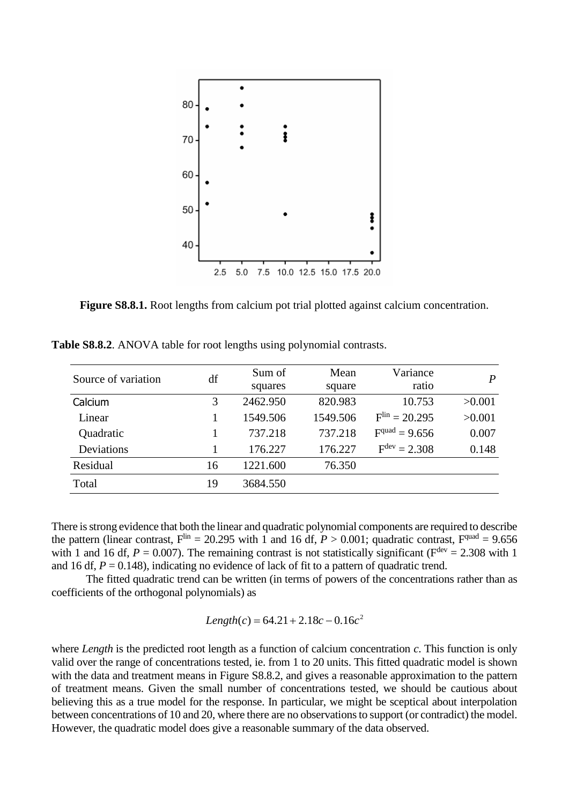

Figure S8.8.1. Root lengths from calcium pot trial plotted against calcium concentration.

**Table S8.8.2**. ANOVA table for root lengths using polynomial contrasts.

| Source of variation | df | Sum of   | Mean     | Variance                 | $\boldsymbol{P}$ |
|---------------------|----|----------|----------|--------------------------|------------------|
|                     |    | squares  | square   | ratio                    |                  |
| Calcium             | 3  | 2462.950 | 820.983  | 10.753                   | >0.001           |
| Linear              |    | 1549.506 | 1549.506 | $Flin = 20.295$          | >0.001           |
| Quadratic           |    | 737.218  | 737.218  | $Fquad = 9.656$          | 0.007            |
| Deviations          |    | 176.227  | 176.227  | $F^{\text{dev}} = 2.308$ | 0.148            |
| Residual            | 16 | 1221.600 | 76.350   |                          |                  |
| Total               | 19 | 3684.550 |          |                          |                  |

There is strong evidence that both the linear and quadratic polynomial components are required to describe the pattern (linear contrast,  $F^{\text{lin}} = 20.295$  with 1 and 16 df,  $P > 0.001$ ; quadratic contrast,  $F^{\text{quad}} = 9.656$ with 1 and 16 df,  $P = 0.007$ ). The remaining contrast is not statistically significant ( $F<sup>dev</sup> = 2.308$  with 1 and 16 df,  $P = 0.148$ ), indicating no evidence of lack of fit to a pattern of quadratic trend.

The fitted quadratic trend can be written (in terms of powers of the concentrations rather than as coefficients of the orthogonal polynomials) as

$$
Length(c) = 64.21 + 2.18c - 0.16c^2
$$

where *Length* is the predicted root length as a function of calcium concentration *c*. This function is only valid over the range of concentrations tested, ie. from 1 to 20 units. This fitted quadratic model is shown with the data and treatment means in Figure S8.8.2, and gives a reasonable approximation to the pattern of treatment means. Given the small number of concentrations tested, we should be cautious about believing this as a true model for the response. In particular, we might be sceptical about interpolation between concentrations of 10 and 20, where there are no observations to support (or contradict) the model. However, the quadratic model does give a reasonable summary of the data observed.